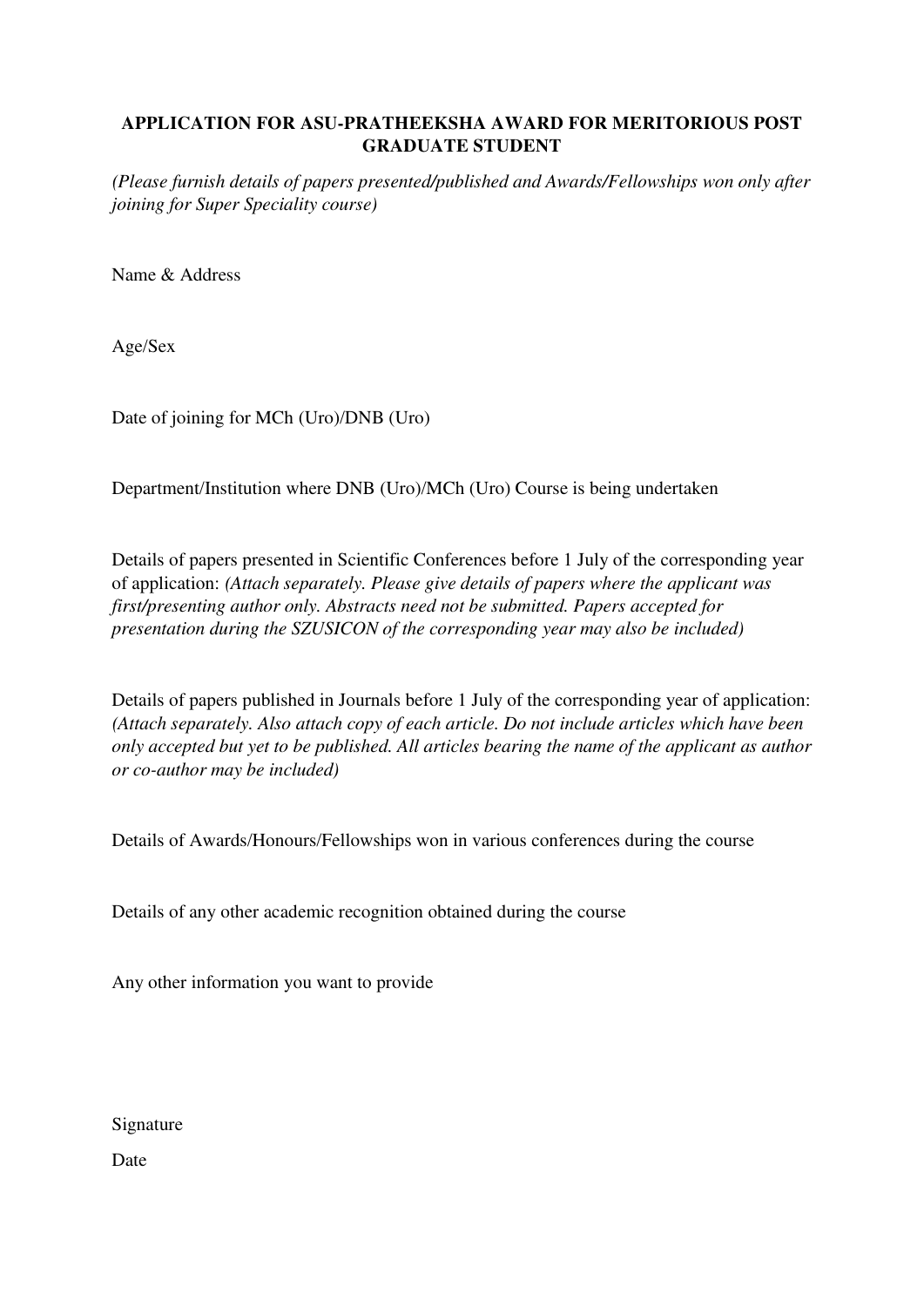## **APPLICATION FOR ASU-PRATHEEKSHA AWARD FOR MERITORIOUS POST GRADUATE STUDENT**

*(Please furnish details of papers presented/published and Awards/Fellowships won only after joining for Super Speciality course)* 

Name & Address

Age/Sex

Date of joining for MCh (Uro)/DNB (Uro)

Department/Institution where DNB (Uro)/MCh (Uro) Course is being undertaken

Details of papers presented in Scientific Conferences before 1 July of the corresponding year of application: *(Attach separately. Please give details of papers where the applicant was first/presenting author only. Abstracts need not be submitted. Papers accepted for presentation during the SZUSICON of the corresponding year may also be included)* 

Details of papers published in Journals before 1 July of the corresponding year of application: *(Attach separately. Also attach copy of each article. Do not include articles which have been only accepted but yet to be published. All articles bearing the name of the applicant as author or co-author may be included)* 

Details of Awards/Honours/Fellowships won in various conferences during the course

Details of any other academic recognition obtained during the course

Any other information you want to provide

Signature

Date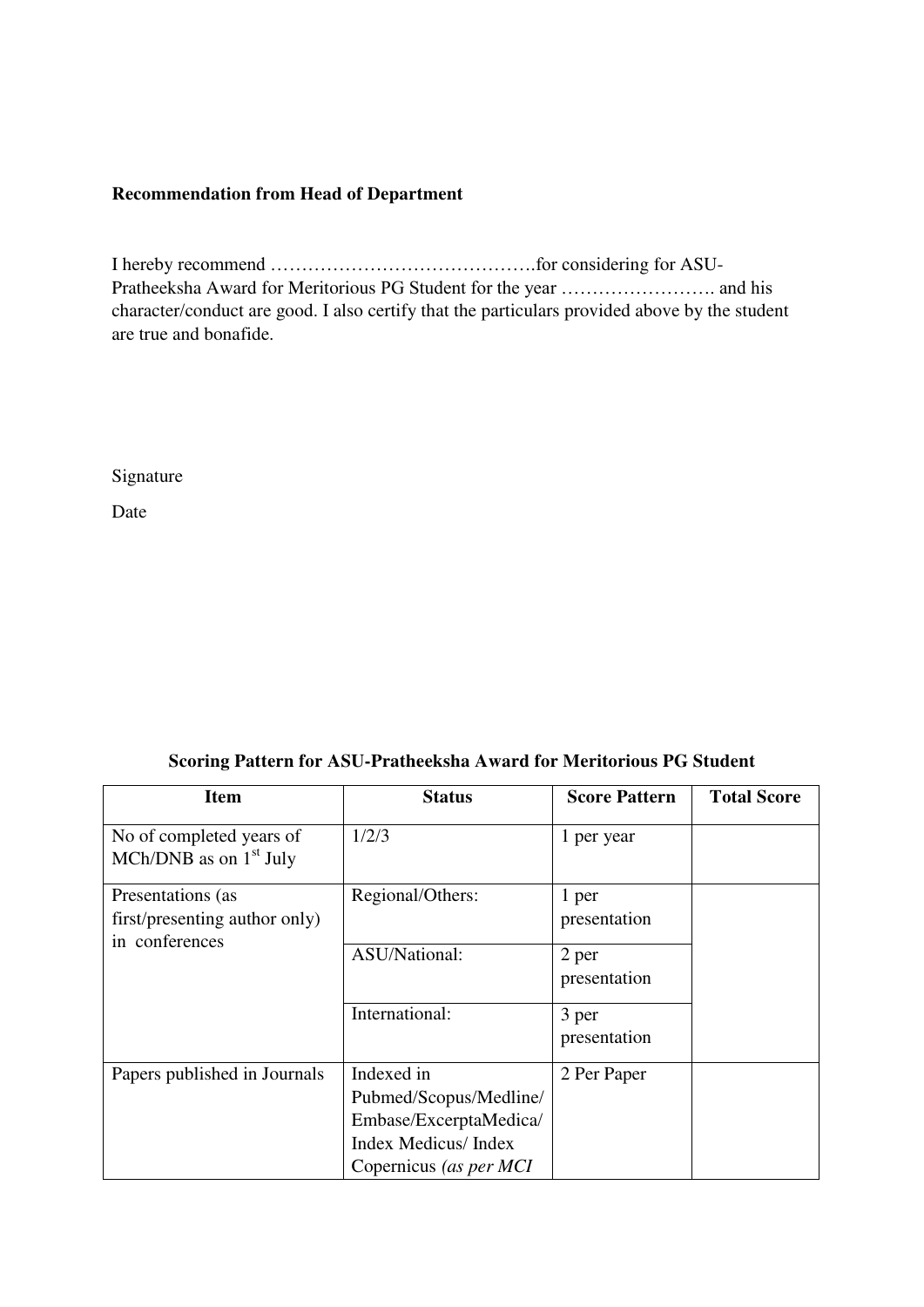## **Recommendation from Head of Department**

I hereby recommend …………………………………….for considering for ASU-Pratheeksha Award for Meritorious PG Student for the year ……………………. and his character/conduct are good. I also certify that the particulars provided above by the student are true and bonafide.

Signature

Date

|  |  | Scoring Pattern for ASU-Pratheeksha Award for Meritorious PG Student |  |
|--|--|----------------------------------------------------------------------|--|
|--|--|----------------------------------------------------------------------|--|

| <b>Item</b>                                          | <b>Status</b>                                                                                                          | <b>Score Pattern</b>  | <b>Total Score</b> |
|------------------------------------------------------|------------------------------------------------------------------------------------------------------------------------|-----------------------|--------------------|
| No of completed years of<br>MCh/DNB as on $1st$ July | 1/2/3                                                                                                                  | 1 per year            |                    |
| Presentations (as<br>first/presenting author only)   | Regional/Others:                                                                                                       | 1 per<br>presentation |                    |
| in conferences                                       | ASU/National:                                                                                                          | 2 per<br>presentation |                    |
|                                                      | International:                                                                                                         | 3 per<br>presentation |                    |
| Papers published in Journals                         | Indexed in<br>Pubmed/Scopus/Medline/<br>Embase/ExcerptaMedica/<br><b>Index Medicus/Index</b><br>Copernicus (as per MCI | 2 Per Paper           |                    |